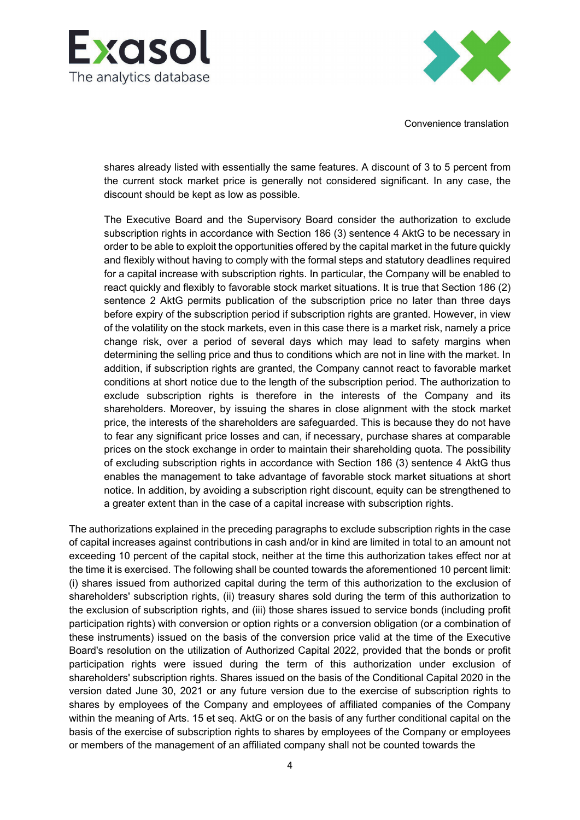



Convenience translation

shares already listed with essentially the same features. A discount of 3 to 5 percent from the current stock market price is generally not considered significant. In any case, the discount should be kept as low as possible.

The Executive Board and the Supervisory Board consider the authorization to exclude subscription rights in accordance with Section 186 (3) sentence 4 AktG to be necessary in order to be able to exploit the opportunities offered by the capital market in the future quickly and flexibly without having to comply with the formal steps and statutory deadlines required for a capital increase with subscription rights. In particular, the Company will be enabled to react quickly and flexibly to favorable stock market situations. It is true that Section 186 (2) sentence 2 AktG permits publication of the subscription price no later than three days before expiry of the subscription period if subscription rights are granted. However, in view of the volatility on the stock markets, even in this case there is a market risk, namely a price change risk, over a period of several days which may lead to safety margins when determining the selling price and thus to conditions which are not in line with the market. In addition, if subscription rights are granted, the Company cannot react to favorable market conditions at short notice due to the length of the subscription period. The authorization to exclude subscription rights is therefore in the interests of the Company and its shareholders. Moreover, by issuing the shares in close alignment with the stock market price, the interests of the shareholders are safeguarded. This is because they do not have to fear any significant price losses and can, if necessary, purchase shares at comparable prices on the stock exchange in order to maintain their shareholding quota. The possibility of excluding subscription rights in accordance with Section 186 (3) sentence 4 AktG thus enables the management to take advantage of favorable stock market situations at short notice. In addition, by avoiding a subscription right discount, equity can be strengthened to a greater extent than in the case of a capital increase with subscription rights.

The authorizations explained in the preceding paragraphs to exclude subscription rights in the case of capital increases against contributions in cash and/or in kind are limited in total to an amount not exceeding 10 percent of the capital stock, neither at the time this authorization takes effect nor at the time it is exercised. The following shall be counted towards the aforementioned 10 percent limit: (i) shares issued from authorized capital during the term of this authorization to the exclusion of shareholders' subscription rights, (ii) treasury shares sold during the term of this authorization to the exclusion of subscription rights, and (iii) those shares issued to service bonds (including profit participation rights) with conversion or option rights or a conversion obligation (or a combination of these instruments) issued on the basis of the conversion price valid at the time of the Executive Board's resolution on the utilization of Authorized Capital 2022, provided that the bonds or profit participation rights were issued during the term of this authorization under exclusion of shareholders' subscription rights. Shares issued on the basis of the Conditional Capital 2020 in the version dated June 30, 2021 or any future version due to the exercise of subscription rights to shares by employees of the Company and employees of affiliated companies of the Company within the meaning of Arts. 15 et seq. AktG or on the basis of any further conditional capital on the basis of the exercise of subscription rights to shares by employees of the Company or employees or members of the management of an affiliated company shall not be counted towards the